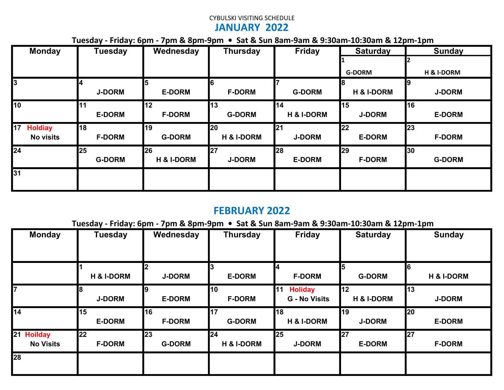### CYBULSKI VISITING SCHEDULE JANUARY 2022

Tuesday - Friday: 6pm - 7pm & 8pm-9pm • Sat & Sun 8am-9am & 9:30am-10:30am & 12pm-1pm

| <b>Monday</b>        | <b>Tuesday</b> | Wednesday             | <b>Thursday</b> | <b>Friday</b>         | <b>Saturday</b>       | <b>Sunday</b> |
|----------------------|----------------|-----------------------|-----------------|-----------------------|-----------------------|---------------|
|                      |                |                       |                 |                       |                       |               |
|                      |                |                       |                 |                       | <b>G-DORM</b>         | H & I-DORM    |
| $\overline{3}$       |                |                       |                 |                       |                       | 19            |
|                      | <b>J-DORM</b>  | <b>E-DORM</b>         | <b>F-DORM</b>   | <b>G-DORM</b>         | <b>H &amp; I-DORM</b> | <b>J-DORM</b> |
| 10                   | l11            | 12                    | 13              | 14                    | 15                    | 16            |
|                      | <b>E-DORM</b>  | <b>F-DORM</b>         | <b>G-DORM</b>   | <b>H &amp; I-DORM</b> | <b>J-DORM</b>         | <b>E-DORM</b> |
| 17<br><b>Holdiay</b> | 18             | 19                    | 20              | 21                    | 22                    | 23            |
| <b>No visits</b>     | <b>F-DORM</b>  | <b>G-DORM</b>         | H & I-DORM      | <b>J-DORM</b>         | <b>E-DORM</b>         | <b>F-DORM</b> |
| <b>124</b>           | 25             | 26                    | 27              | <b>28</b>             | 29                    | 30            |
|                      | <b>G-DORM</b>  | <b>H &amp; I-DORM</b> | <b>J-DORM</b>   | <b>E-DORM</b>         | <b>F-DORM</b>         | <b>G-DORM</b> |
| 31                   |                |                       |                 |                       |                       |               |
|                      |                |                       |                 |                       |                       |               |

### FEBRUARY 2022

Tuesday - Friday: 6pm - 7pm & 8pm-9pm • Sat & Sun 8am-9am & 9:30am-10:30am & 12pm-1pm

| <b>Monday</b>                  | <b>Tuesday</b>             | Wednesday           | <b>Thursday</b>             | <b>Friday</b>                                        | <b>Saturday</b>             | <b>Sunday</b>               |
|--------------------------------|----------------------------|---------------------|-----------------------------|------------------------------------------------------|-----------------------------|-----------------------------|
|                                | <b>H &amp; I-DORM</b>      | <b>J-DORM</b>       | <b>E-DORM</b>               | 14<br><b>F-DORM</b>                                  | 15<br><b>G-DORM</b>         | l6<br><b>H &amp; I-DORM</b> |
| 17                             | <b>J-DORM</b>              | <b>E-DORM</b>       | 10<br><b>F-DORM</b>         | <b>111</b><br><b>Holiday</b><br><b>G</b> - No Visits | 12<br><b>H &amp; I-DORM</b> | 13<br><b>J-DORM</b>         |
| $\overline{14}$                | 15<br><b>E-DORM</b>        | 16<br><b>F-DORM</b> | 17<br><b>G-DORM</b>         | I18<br>H & I-DORM                                    | 19<br><b>J-DORM</b>         | 20<br><b>E-DORM</b>         |
| 21 Hoilday<br><b>No Visits</b> | <b>22</b><br><b>F-DORM</b> | 23<br><b>G-DORM</b> | 24<br><b>H &amp; I-DORM</b> | <b>25</b><br><b>J-DORM</b>                           | 27<br><b>E-DORM</b>         | 27<br><b>F-DORM</b>         |
| <b>28</b>                      |                            |                     |                             |                                                      |                             |                             |